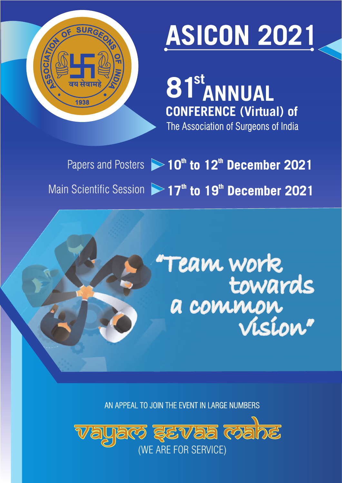

# **ASICON 2021**

The Association of Surgeons of India **st 81 ANNUAL CONFERENCE (Virtual) of**

Papers and Posters  $\triangleright$  **10<sup>th</sup> to 12<sup>th</sup> December 2021** Main Scientific Session **>>17<sup>th</sup> to 19<sup>th</sup> December 2021** 

> "Team work towards a common vision"

AN APPEAL TO JOIN THE EVENT IN LARGE NUMBERS

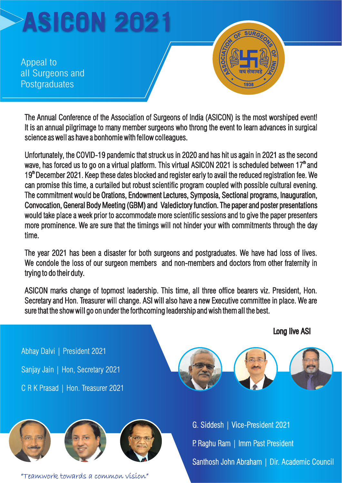Appeal to all Surgeons and **Postgraduates** 

The Annual Conference of the Association of Surgeons of India (ASICON) is the most worshiped event! It is an annual pilgrimage to many member surgeons who throng the event to learn advances in surgical science as well as have a bonhomie with fellow colleagues.

The commitment would be Orations, Endowment Lectures, Symposia, Sectional programs, Inauguration, The commitment would be Orations, Endowment Lectures, Symposia, Sectional programs, Inauguration,<br>Convocation, General Body Meeting (GBM) and Valedictory function. The paper and poster presentations Unfortunately, the COVID-19 pandemic that struck us in 2020 and has hit us again in 2021 as the second wave, has forced us to go on a virtual platform. This virtual ASICON 2021 is scheduled between  $17<sup>m</sup>$  and 19<sup>th</sup> December 2021. Keep these dates blocked and register early to avail the reduced registration fee. We can promise this time, a curtailed but robust scientific program coupled with possible cultural evening. would take place a week prior to accommodate more scientific sessions and to give the paper presenters more prominence. We are sure that the timings will not hinder your with commitments through the day time. **EXECUTE:**<br> **EXECUTE ANNUAL CONFERENCE ASSOCIATE AND A SURFACE AND A SURFACE AND THE ANNUAL COVID-19 partember surgeons who throng the event to learn advances in science as well as have a bonhomic with follow colleagues.<br>** 

The year 2021 has been a disaster for both surgeons and postgraduates. We have had loss of lives. We condole the loss of our surgeon members and non-members and doctors from other fraternity in trying to do their duty.

ASICON marks change of topmost leadership. This time, all three office bearers viz. President, Hon. Secretary and Hon. Treasurer will change. ASI will also have a new Executive committee in place. We are sure that the show will go on under the forthcoming leadership and wish them all the best.

Abhay Dalvi | President 2021 Sanjay Jain | Hon, Secretary 2021 C R K Prasad | Hon. Treasurer 2021



P. Raghu Ram | Imm Past President Santhosh John Abraham | Dir. Academic Council

Long live ASI

"Teamwork towards a common vision"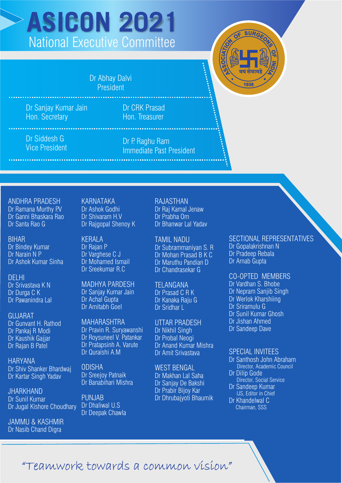## **ASICON 2021** National Executive Committee

Dr Abhay Dalvi President

Dr Sanjay Kumar Jain Hon. Secretary

Dr CRK Prasad Hon. Treasurer

Dr Siddesh G Vice President

Dr P. Raghu Ram Immediate Past President

ANDHRA PRADESH Dr Ramana Murthy P.V Dr Ganni Bhaskara Rao Dr Santa Rao G

BIHAR Dr Bindey Kumar Dr Narain N P Dr Ashok Kumar Sinha

DELHI Dr Srivastava K N Dr Durga C K Dr Pawanindra Lal

GUJARAT Dr Gunvant H. Rathod Dr Pankaj R Modi Dr Kaushik Gajjar Dr Rajan B Patel

HARYANA Dr Shiv Shanker Bhardwai Dr Kartar Singh Yadav

JHARKHAND Dr Sunil Kumar Dr Jugal Kishore Choudhary

JAMMU & KASHMIR Dr Nasib Chand Digra

KARNATAKA Dr Ashok Godhi Dr Shivaram H.V Dr Rajgopal Shenoy K

KERALA Dr Rajan P Dr Varghese C J Dr Mohamed Ismail Dr Sreekumar R.C

MADHYA PARDESH Dr Sanjay Kumar Jain Dr Achal Gupta Dr Amitabh Goel

MAHARASHTRA Dr Pravin R. Suryawanshi Dr Roysuneel V. Patankar Dr Pratapsinh A. Varute Dr Quraishi A.M

ODISHA Dr Sreejoy Patnaik Dr Banabihari Mishra

PUNJAB Dr Dhaliwal U.S Dr Deepak Chawla RAJASTHAN Dr Raj Kamal Jenaw

Dr Prabha Om Dr Bhanwar Lal Yadav

TAMIL NADU Dr Subrammaniyan S. R Dr Mohan Prasad B K C Dr Maruthu Pandian D Dr Chandrasekar G

TELANGANA Dr Prasad C R K Dr Kanaka Raju G Dr Sridhar L

UTTAR PRADESH Dr Nikhil Singh Dr Probal Neogi Dr Anand Kumar Mishra Dr Amit Srivastava

WEST BENGAL Dr Makhan Lal Saha Dr Sanjay De Bakshi Dr Prabir Bijoy Kar Dr Dhrubajyoti Bhaumik SECTIONAL REPRESENTATIVES

Dr Gopalakrishnan N Dr Pradeep Rebala Dr Arnab Gupta

CO-OPTED MEMBERS

Dr Vardhan S. Bhobe Dr Nepram Sanjib Singh Dr Werlok Kharshiing Dr Sriramulu G Dr Sunil Kumar Ghosh Dr Jishan Ahmed Dr Sandeep Dave

#### SPECIAL INVITEES

Dr Santhosh John Abraham Director, Academic Council Dr Dilip Gode

Director, Social Service Dr Sandeep Kumar IJS, Editor in Chief Dr Khandelwal C Chairman, SSS

#### "Teamwork towards a common vision"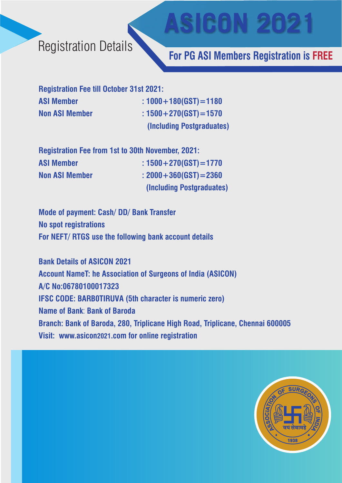#### Registration Details

#### **For PG ASI Members Registration is FREE**

**ASICON 2021**

**Registration Fee till October 31st 2021: ASI Member : 1000+180 GST)=1180 ( Non ASI Member : 1500+270(GST)=1570 (Including Postgraduates)**

| <b>Registration Fee from 1st to 30th November, 2021:</b> |                            |
|----------------------------------------------------------|----------------------------|
| <b>ASI Member</b>                                        | : $1500 + 270(GST) = 1770$ |
| <b>Non ASI Member</b>                                    | : $2000 + 360(GST) = 2360$ |
|                                                          | (Including Postgraduates)  |

**Mode of payment: Cash/ DD/ Bank Transfer No spot registrations For NEFT/ RTGS use the following bank account details**

**Bank Details of ASICON 2021 Account NameT: he Association of Surgeons of India (ASICON) A/C No:06780100017323 IFSC CODE: BARB0TIRUVA (5th character is numeric zero) Name of Bank**: **Bank of Baroda Branch: Bank of Baroda, 280, Triplicane High Road, Triplicane, Chennai 600005 Visit: www.asicon2021.com for online registration** 

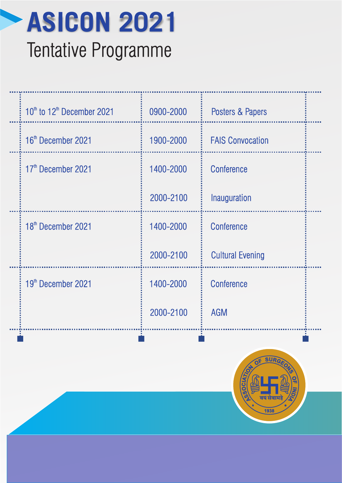

| 10 <sup>th</sup> to 12 <sup>th</sup> December 2021 | 0900-2000 | Posters & Papers        |  |
|----------------------------------------------------|-----------|-------------------------|--|
| 16 <sup>th</sup> December 2021                     | 1900-2000 | <b>FAIS Convocation</b> |  |
| 17 <sup>th</sup> December 2021                     | 1400-2000 | <b>Conference</b>       |  |
|                                                    | 2000-2100 | Inauguration            |  |
| 18 <sup>th</sup> December 2021                     | 1400-2000 | <b>Conference</b>       |  |
|                                                    | 2000-2100 | <b>Cultural Evening</b> |  |
| 19 <sup>th</sup> December 2021                     | 1400-2000 | <b>Conference</b>       |  |
|                                                    | 2000-2100 | <b>AGM</b>              |  |
|                                                    |           |                         |  |